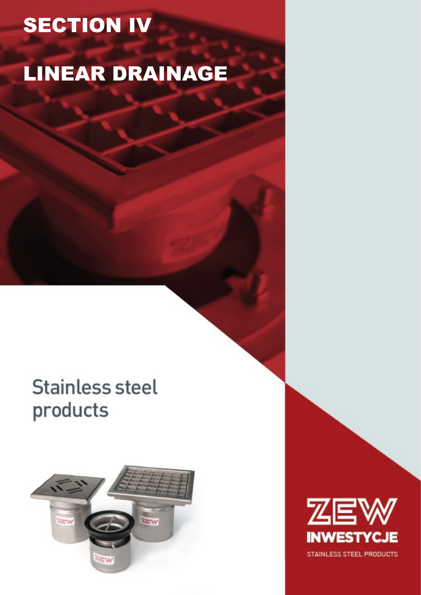# **SECTION IV**

## **LINEAR DRAINAGE**

## **Stainless steel** products



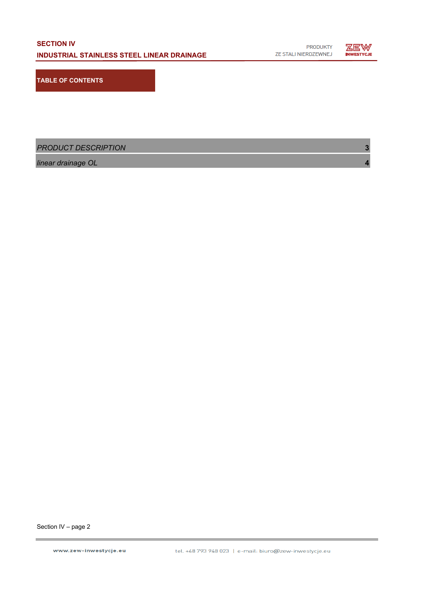

**TABLE OF CONTENTS**

*PRODUCT DESCRIPTION* **3**

*linear drainage OL* **4**

Section IV – page 2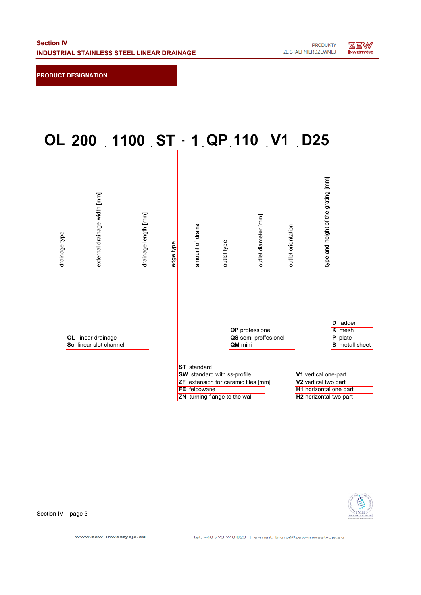**PRODUCT DESIGNATION**





Section IV – page 3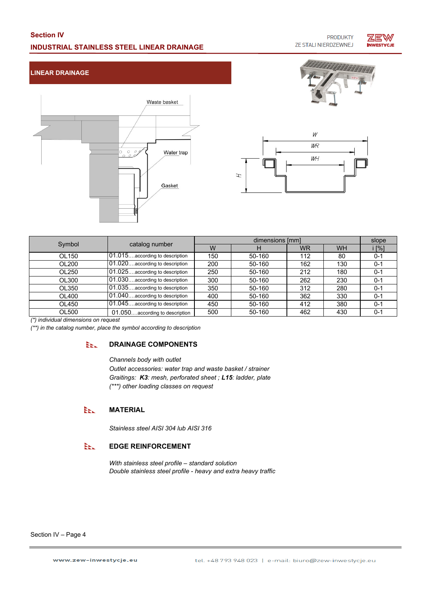## **Section IV INDUSTRIAL STAINLESS STEEL LINEAR DRAINAGE**

**PRODUKTY** ZE STALI NIERDZEWNEJ



### **LINEAR DRAINAGE**





| Symbol | catalog number                 | dimensions [mm] |        |           |           | slope   |
|--------|--------------------------------|-----------------|--------|-----------|-----------|---------|
|        |                                | W               | н      | <b>WR</b> | <b>WH</b> | i [%]   |
| OL150  | 01.015according to description | 150             | 50-160 | 112       | 80        | $0 - 1$ |
| OL200  | 01.020according to description | 200             | 50-160 | 162       | 130       | $0 - 1$ |
| OL250  | 01.025according to description | 250             | 50-160 | 212       | 180       | $0 - 1$ |
| OL300  | 01.030according to description | 300             | 50-160 | 262       | 230       | $0 - 1$ |
| OL350  | 01.035according to description | 350             | 50-160 | 312       | 280       | $0 - 1$ |
| OL400  | 01.040according to description | 400             | 50-160 | 362       | 330       | $0 - 1$ |
| OL450  | 01.045according to description | 450             | 50-160 | 412       | 380       | $0 - 1$ |
| OL500  | 01.050according to description | 500             | 50-160 | 462       | 430       | $0 - 1$ |

 $\pm$ 

*(\*) individual dimensions on request*

*(\*\*) in the catalog number, place the symbol according to description*

#### **DRAINAGE COMPONENTS** EEL.

*Channels body with outlet*

*Outlet accessories: water trap and waste basket / strainer (\*\*\*) other loading classes on request Graitings: K3: mesh, perforated sheet ; L15: ladder, plate*

#### **MATERIAL** EEL.

*Stainless steel AISI 304 lub AISI 316*

#### EEL. **EDGE REINFORCEMENT**

*With stainless steel profile – standard solution Double stainless steel profile - heavy and extra heavy traffic*

Section IV – Page 4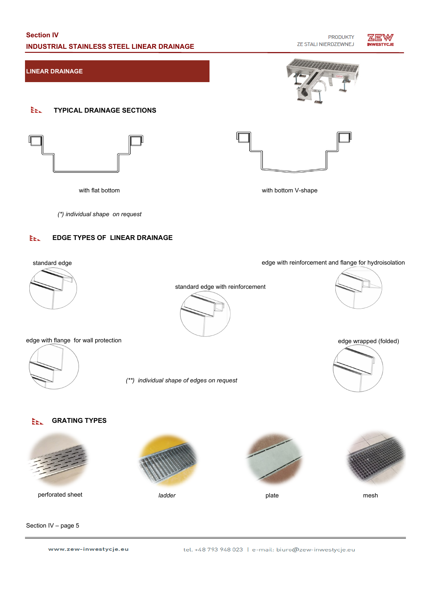### **Section IV INDUSTRIAL STAINLESS STEEL LINEAR DRAINAGE**

**PRODUKTY** ZE STALI NIERDZEWNEJ